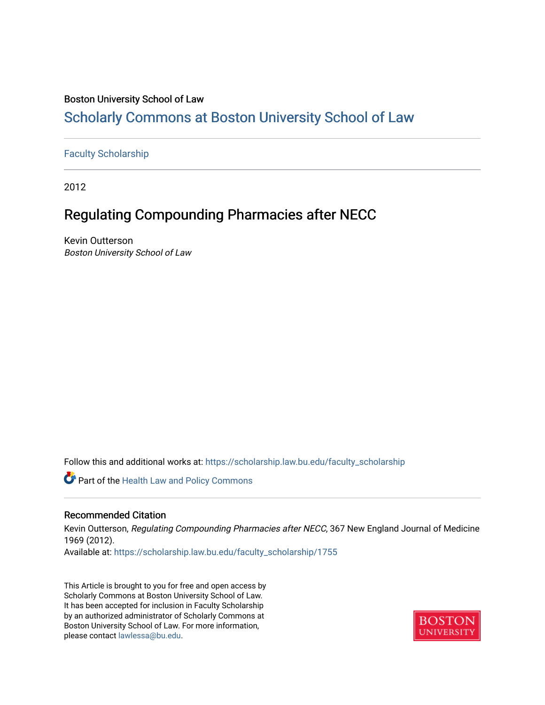## Boston University School of Law

## [Scholarly Commons at Boston University School of Law](https://scholarship.law.bu.edu/)

## [Faculty Scholarship](https://scholarship.law.bu.edu/faculty_scholarship)

2012

# Regulating Compounding Pharmacies after NECC

Kevin Outterson Boston University School of Law

Follow this and additional works at: [https://scholarship.law.bu.edu/faculty\\_scholarship](https://scholarship.law.bu.edu/faculty_scholarship?utm_source=scholarship.law.bu.edu%2Ffaculty_scholarship%2F1755&utm_medium=PDF&utm_campaign=PDFCoverPages)

Part of the [Health Law and Policy Commons](http://network.bepress.com/hgg/discipline/901?utm_source=scholarship.law.bu.edu%2Ffaculty_scholarship%2F1755&utm_medium=PDF&utm_campaign=PDFCoverPages) 

### Recommended Citation

Kevin Outterson, Regulating Compounding Pharmacies after NECC, 367 New England Journal of Medicine 1969 (2012). Available at: [https://scholarship.law.bu.edu/faculty\\_scholarship/1755](https://scholarship.law.bu.edu/faculty_scholarship/1755?utm_source=scholarship.law.bu.edu%2Ffaculty_scholarship%2F1755&utm_medium=PDF&utm_campaign=PDFCoverPages)

This Article is brought to you for free and open access by Scholarly Commons at Boston University School of Law. It has been accepted for inclusion in Faculty Scholarship by an authorized administrator of Scholarly Commons at Boston University School of Law. For more information, please contact [lawlessa@bu.edu](mailto:lawlessa@bu.edu).

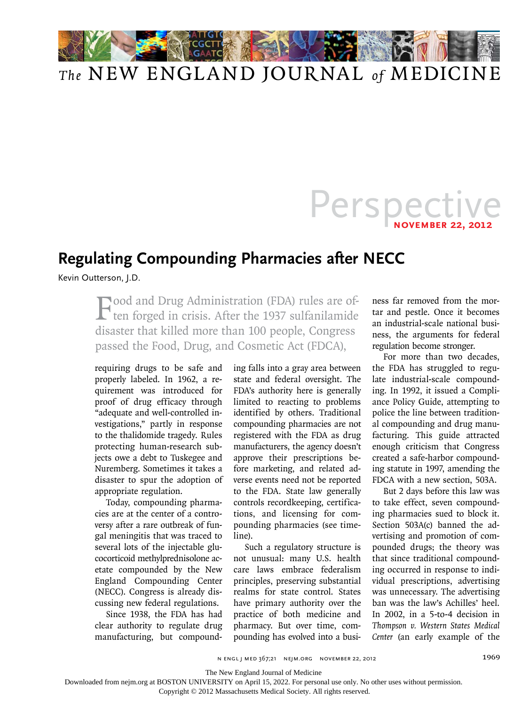

# *The* NEW ENGLAND JOURNAL *of* MEDICINE

# Perspective

# **Regulating Compounding Pharmacies after NECC**

Kevin Outterson, J.D.

Food and Drug Administration (FDA) rules are of-ten forged in crisis. After the 1937 sulfanilamide disaster that killed more than 100 people, Congress passed the Food, Drug, and Cosmetic Act (FDCA),

requiring drugs to be safe and properly labeled. In 1962, a requirement was introduced for proof of drug efficacy through "adequate and well-controlled investigations," partly in response to the thalidomide tragedy. Rules protecting human-research subjects owe a debt to Tuskegee and Nuremberg. Sometimes it takes a disaster to spur the adoption of appropriate regulation.

Today, compounding pharmacies are at the center of a controversy after a rare outbreak of fungal meningitis that was traced to several lots of the injectable glucocorticoid methylprednisolone acetate compounded by the New England Compounding Center (NECC). Congress is already discussing new federal regulations.

Since 1938, the FDA has had clear authority to regulate drug manufacturing, but compounding falls into a gray area between state and federal oversight. The FDA's authority here is generally limited to reacting to problems identified by others. Traditional compounding pharmacies are not registered with the FDA as drug manufacturers, the agency doesn't approve their prescriptions before marketing, and related adverse events need not be reported to the FDA. State law generally controls recordkeeping, certifications, and licensing for compounding pharmacies (see timeline).

Such a regulatory structure is not unusual: many U.S. health care laws embrace federalism principles, preserving substantial realms for state control. States have primary authority over the practice of both medicine and pharmacy. But over time, compounding has evolved into a business far removed from the mortar and pestle. Once it becomes an industrial-scale national business, the arguments for federal regulation become stronger.

For more than two decades, the FDA has struggled to regulate industrial-scale compounding. In 1992, it issued a Compliance Policy Guide, attempting to police the line between traditional compounding and drug manufacturing. This guide attracted enough criticism that Congress created a safe-harbor compounding statute in 1997, amending the FDCA with a new section, 503A.

But 2 days before this law was to take effect, seven compounding pharmacies sued to block it. Section 503A(c) banned the advertising and promotion of compounded drugs; the theory was that since traditional compounding occurred in response to individual prescriptions, advertising was unnecessary. The advertising ban was the law's Achilles' heel. In 2002, in a 5-to-4 decision in *Thompson v. Western States Medical Center* (an early example of the

The New England Journal of Medicine

Downloaded from nejm.org at BOSTON UNIVERSITY on April 15, 2022. For personal use only. No other uses without permission.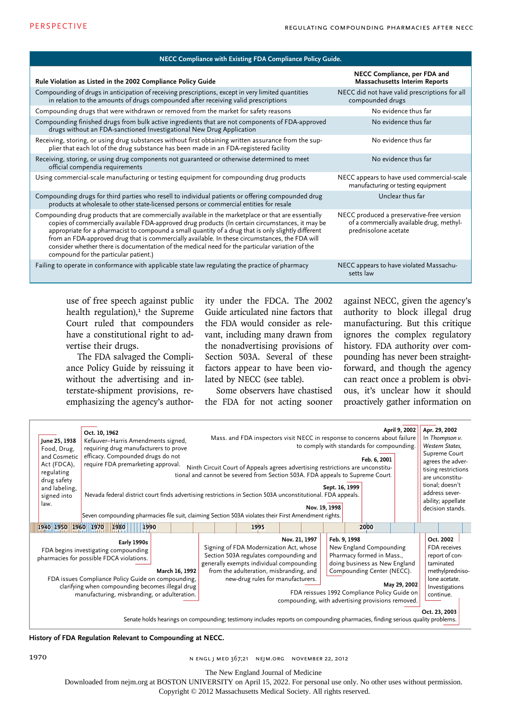| NECC Compliance with Existing FDA Compliance Policy Guide.                                                                                                                                                                                                                                                                                                                                                                                                                                                                                                    |                                                                                                                |  |  |  |  |  |  |
|---------------------------------------------------------------------------------------------------------------------------------------------------------------------------------------------------------------------------------------------------------------------------------------------------------------------------------------------------------------------------------------------------------------------------------------------------------------------------------------------------------------------------------------------------------------|----------------------------------------------------------------------------------------------------------------|--|--|--|--|--|--|
| Rule Violation as Listed in the 2002 Compliance Policy Guide                                                                                                                                                                                                                                                                                                                                                                                                                                                                                                  | NECC Compliance, per FDA and<br>Massachusetts Interim Reports                                                  |  |  |  |  |  |  |
| Compounding of drugs in anticipation of receiving prescriptions, except in very limited quantities<br>in relation to the amounts of drugs compounded after receiving valid prescriptions                                                                                                                                                                                                                                                                                                                                                                      | NECC did not have valid prescriptions for all<br>compounded drugs                                              |  |  |  |  |  |  |
| Compounding drugs that were withdrawn or removed from the market for safety reasons                                                                                                                                                                                                                                                                                                                                                                                                                                                                           | No evidence thus far                                                                                           |  |  |  |  |  |  |
| Compounding finished drugs from bulk active ingredients that are not components of FDA-approved<br>drugs without an FDA-sanctioned Investigational New Drug Application                                                                                                                                                                                                                                                                                                                                                                                       | No evidence thus far                                                                                           |  |  |  |  |  |  |
| Receiving, storing, or using drug substances without first obtaining written assurance from the sup-<br>plier that each lot of the drug substance has been made in an FDA-registered facility                                                                                                                                                                                                                                                                                                                                                                 | No evidence thus far                                                                                           |  |  |  |  |  |  |
| Receiving, storing, or using drug components not guaranteed or otherwise determined to meet<br>official compendia requirements                                                                                                                                                                                                                                                                                                                                                                                                                                | No evidence thus far                                                                                           |  |  |  |  |  |  |
| Using commercial-scale manufacturing or testing equipment for compounding drug products                                                                                                                                                                                                                                                                                                                                                                                                                                                                       | NECC appears to have used commercial-scale<br>manufacturing or testing equipment                               |  |  |  |  |  |  |
| Compounding drugs for third parties who resell to individual patients or offering compounded drug<br>products at wholesale to other state-licensed persons or commercial entities for resale                                                                                                                                                                                                                                                                                                                                                                  | Unclear thus far                                                                                               |  |  |  |  |  |  |
| Compounding drug products that are commercially available in the marketplace or that are essentially<br>copies of commercially available FDA-approved drug products (In certain circumstances, it may be<br>appropriate for a pharmacist to compound a small quantity of a drug that is only slightly different<br>from an FDA-approved drug that is commercially available. In these circumstances, the FDA will<br>consider whether there is documentation of the medical need for the particular variation of the<br>compound for the particular patient.) | NECC produced a preservative-free version<br>of a commercially available drug, methyl-<br>prednisolone acetate |  |  |  |  |  |  |
| Failing to operate in conformance with applicable state law regulating the practice of pharmacy                                                                                                                                                                                                                                                                                                                                                                                                                                                               | NECC appears to have violated Massachu-<br>setts law                                                           |  |  |  |  |  |  |

use of free speech against public health regulation), $1$  the Supreme Court ruled that compounders have a constitutional right to advertise their drugs.

The FDA salvaged the Compliance Policy Guide by reissuing it without the advertising and interstate-shipment provisions, reemphasizing the agency's authority under the FDCA. The 2002 Guide articulated nine factors that the FDA would consider as relevant, including many drawn from the nonadvertising provisions of Section 503A. Several of these factors appear to have been violated by NECC (see table).

Some observers have chastised the FDA for not acting sooner against NECC, given the agency's authority to block illegal drug manufacturing. But this critique ignores the complex regulatory history. FDA authority over compounding has never been straightforward, and though the agency can react once a problem is obvious, it's unclear how it should proactively gather information on

|                                                                                                                                                                                                                                                                                                                    | June 25, 1938<br>Food, Drug,<br>and Cosmetic<br>Act (FDCA),<br>regulating<br>drug safety<br>and labeling,<br>signed into<br>law.               | April 9, 2002<br>Oct. 10, 1962<br>Mass. and FDA inspectors visit NECC in response to concerns about failure<br>Kefauver-Harris Amendments signed,<br>to comply with standards for compounding.<br>requiring drug manufacturers to prove<br>efficacy. Compounded drugs do not<br>Feb. 6, 2001<br>require FDA premarketing approval.<br>Ninth Circuit Court of Appeals agrees advertising restrictions are unconstitu-<br>tional and cannot be severed from Section 503A. FDA appeals to Supreme Court.<br>Sept. 16, 1999<br>Nevada federal district court finds advertising restrictions in Section 503A unconstitutional. FDA appeals.<br>Nov. 19, 1998<br>Seven compounding pharmacies file suit, claiming Section 503A violates their First Amendment rights. |  |  |                                                                                                                                                                                                                                        |  |  |                                                                                                                                                                                                                                                                  |  | Apr. 29, 2002<br>In Thompson v.<br>Western States,<br>Supreme Court<br>agrees the adver-<br>tising restrictions<br>are unconstitu-<br>tional; doesn't<br>address sever-<br>ability; appellate<br>decision stands. |                                     |                                                                                      |  |
|--------------------------------------------------------------------------------------------------------------------------------------------------------------------------------------------------------------------------------------------------------------------------------------------------------------------|------------------------------------------------------------------------------------------------------------------------------------------------|-----------------------------------------------------------------------------------------------------------------------------------------------------------------------------------------------------------------------------------------------------------------------------------------------------------------------------------------------------------------------------------------------------------------------------------------------------------------------------------------------------------------------------------------------------------------------------------------------------------------------------------------------------------------------------------------------------------------------------------------------------------------|--|--|----------------------------------------------------------------------------------------------------------------------------------------------------------------------------------------------------------------------------------------|--|--|------------------------------------------------------------------------------------------------------------------------------------------------------------------------------------------------------------------------------------------------------------------|--|-------------------------------------------------------------------------------------------------------------------------------------------------------------------------------------------------------------------|-------------------------------------|--------------------------------------------------------------------------------------|--|
| 1940 1950 1960 1970<br>1980<br>1990<br>Early 1990s<br>FDA begins investigating compounding<br>pharmacies for possible FDCA violations.<br>March 16, 1992<br>FDA issues Compliance Policy Guide on compounding,<br>clarifying when compounding becomes illegal drug<br>manufacturing, misbranding, or adulteration. |                                                                                                                                                |                                                                                                                                                                                                                                                                                                                                                                                                                                                                                                                                                                                                                                                                                                                                                                 |  |  | 1995<br>Nov. 21, 1997<br>Signing of FDA Modernization Act, whose<br>Section 503A regulates compounding and<br>generally exempts individual compounding<br>from the adulteration, misbranding, and<br>new-drug rules for manufacturers. |  |  | 2000<br>Feb. 9, 1998<br>New England Compounding<br>Pharmacy formed in Mass.,<br>doing business as New England<br>Compounding Center (NECC).<br>May 29, 2002<br>FDA reissues 1992 Compliance Policy Guide on<br>compounding, with advertising provisions removed. |  |                                                                                                                                                                                                                   | Oct. 2002<br>taminated<br>continue. | FDA receives<br>report of con-<br>methylpredniso-<br>lone acetate.<br>Investigations |  |
|                                                                                                                                                                                                                                                                                                                    | Oct. 23, 2003<br>Senate holds hearings on compounding; testimony includes reports on compounding pharmacies, finding serious quality problems. |                                                                                                                                                                                                                                                                                                                                                                                                                                                                                                                                                                                                                                                                                                                                                                 |  |  |                                                                                                                                                                                                                                        |  |  |                                                                                                                                                                                                                                                                  |  |                                                                                                                                                                                                                   |                                     |                                                                                      |  |

#### **History of FDA Regulation Relevant to Compounding at NECC.**

1970 n engl j med 367;21 nejm.org november 22, 2012

The New England Journal of Medicine

Downloaded from nejm.org at BOSTON UNIVERSITY on April 15, 2022. For personal use only. No other uses without permission.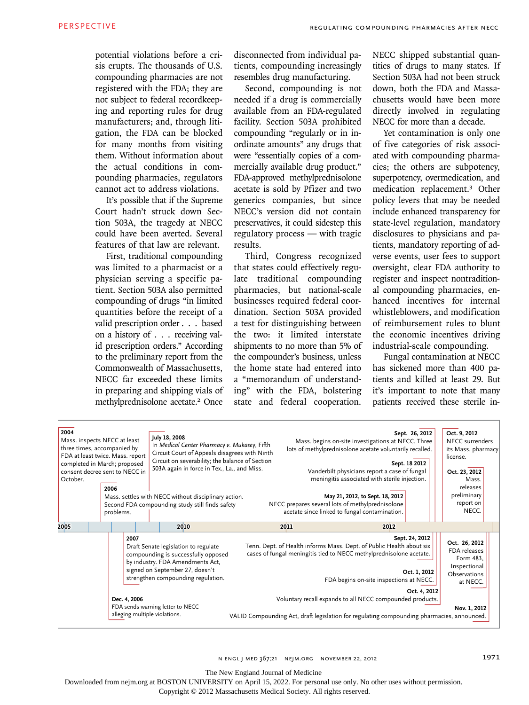potential violations before a crisis erupts. The thousands of U.S. compounding pharmacies are not registered with the FDA; they are not subject to federal recordkeeping and reporting rules for drug manufacturers; and, through litigation, the FDA can be blocked for many months from visiting them. Without information about the actual conditions in compounding pharmacies, regulators cannot act to address violations.

It's possible that if the Supreme Court hadn't struck down Section 503A, the tragedy at NECC could have been averted. Several features of that law are relevant.

First, traditional compounding was limited to a pharmacist or a physician serving a specific patient. Section 503A also permitted compounding of drugs "in limited quantities before the receipt of a valid prescription order . . . based on a history of . . . receiving valid prescription orders." According to the preliminary report from the Commonwealth of Massachusetts, NECC far exceeded these limits in preparing and shipping vials of methylprednisolone acetate.<sup>2</sup> Once disconnected from individual patients, compounding increasingly resembles drug manufacturing.

Second, compounding is not needed if a drug is commercially available from an FDA-regulated facility. Section 503A prohibited compounding "regularly or in inordinate amounts" any drugs that were "essentially copies of a commercially available drug product." FDA-approved methylprednisolone acetate is sold by Pfizer and two generics companies, but since NECC's version did not contain preservatives, it could sidestep this regulatory process — with tragic results.

Third, Congress recognized that states could effectively regulate traditional compounding pharmacies, but national-scale businesses required federal coordination. Section 503A provided a test for distinguishing between the two: it limited interstate shipments to no more than 5% of the compounder's business, unless the home state had entered into a "memorandum of understanding" with the FDA, bolstering state and federal cooperation.

NECC shipped substantial quantities of drugs to many states. If Section 503A had not been struck down, both the FDA and Massachusetts would have been more directly involved in regulating NECC for more than a decade.

Yet contamination is only one of five categories of risk associated with compounding pharmacies; the others are subpotency, superpotency, overmedication, and medication replacement.3 Other policy levers that may be needed include enhanced transparency for state-level regulation, mandatory disclosures to physicians and patients, mandatory reporting of adverse events, user fees to support oversight, clear FDA authority to register and inspect nontraditional compounding pharmacies, enhanced incentives for internal whistleblowers, and modification of reimbursement rules to blunt the economic incentives driving industrial-scale compounding.

Fungal contamination at NECC has sickened more than 400 patients and killed at least 29. But it's important to note that many patients received these sterile in-

| 2004<br>Mass. inspects NECC at least<br>three times, accompanied by<br>FDA at least twice. Mass. report<br>completed in March; proposed<br>consent decree sent to NECC in<br>October. |                                                                                                                                                            |                                                                                                                                      | Sept. 26, 2012<br>July 18, 2008<br>Mass. begins on-site investigations at NECC. Three<br>In Medical Center Pharmacy v. Mukasey, Fifth<br>lots of methylprednisolone acetate voluntarily recalled.<br>Circuit Court of Appeals disagrees with Ninth<br>Circuit on severability; the balance of Section<br>Sept. 18 2012<br>503A again in force in Tex., La., and Miss.<br>Vanderbilt physicians report a case of fungal<br>meningitis associated with sterile injection. |                                                                                                                                             |                                                                                                              | Oct. 9, 2012<br><b>NECC</b> surrenders<br>its Mass. pharmacy<br>license.<br>Oct. 23, 2012<br>Mass. |  |  |
|---------------------------------------------------------------------------------------------------------------------------------------------------------------------------------------|------------------------------------------------------------------------------------------------------------------------------------------------------------|--------------------------------------------------------------------------------------------------------------------------------------|-------------------------------------------------------------------------------------------------------------------------------------------------------------------------------------------------------------------------------------------------------------------------------------------------------------------------------------------------------------------------------------------------------------------------------------------------------------------------|---------------------------------------------------------------------------------------------------------------------------------------------|--------------------------------------------------------------------------------------------------------------|----------------------------------------------------------------------------------------------------|--|--|
| 2006<br>Mass. settles with NECC without disciplinary action.<br>Second FDA compounding study still finds safety<br>problems.                                                          |                                                                                                                                                            | May 21, 2012, to Sept. 18, 2012<br>NECC prepares several lots of methylprednisolone<br>acetate since linked to fungal contamination. |                                                                                                                                                                                                                                                                                                                                                                                                                                                                         | releases<br>preliminary<br>report on<br>NECC.                                                                                               |                                                                                                              |                                                                                                    |  |  |
| 2005                                                                                                                                                                                  |                                                                                                                                                            |                                                                                                                                      | 2010                                                                                                                                                                                                                                                                                                                                                                                                                                                                    | 2011                                                                                                                                        | 2012                                                                                                         |                                                                                                    |  |  |
|                                                                                                                                                                                       | 2007<br>Draft Senate legislation to regulate<br>compounding is successfully opposed<br>by industry. FDA Amendments Act,<br>signed on September 27, doesn't |                                                                                                                                      |                                                                                                                                                                                                                                                                                                                                                                                                                                                                         | Tenn. Dept. of Health informs Mass. Dept. of Public Health about six<br>cases of fungal meningitis tied to NECC methylprednisolone acetate. | Sept. 24, 2012<br>Oct. 26, 2012<br>FDA releases<br>Form 483,<br>Inspectional<br>Oct. 1, 2012<br>Observations |                                                                                                    |  |  |
| strengthen compounding regulation.                                                                                                                                                    |                                                                                                                                                            |                                                                                                                                      |                                                                                                                                                                                                                                                                                                                                                                                                                                                                         |                                                                                                                                             | FDA begins on-site inspections at NECC.<br>at NECC.                                                          |                                                                                                    |  |  |
| Dec. 4, 2006                                                                                                                                                                          |                                                                                                                                                            |                                                                                                                                      | Voluntary recall expands to all NECC compounded products.                                                                                                                                                                                                                                                                                                                                                                                                               | Oct. 4, 2012                                                                                                                                |                                                                                                              |                                                                                                    |  |  |
|                                                                                                                                                                                       |                                                                                                                                                            |                                                                                                                                      | FDA sends warning letter to NECC<br>alleging multiple violations.                                                                                                                                                                                                                                                                                                                                                                                                       | Nov. 1, 2012<br>VALID Compounding Act, draft legislation for regulating compounding pharmacies, announced.                                  |                                                                                                              |                                                                                                    |  |  |

The New England Journal of Medicine

Downloaded from nejm.org at BOSTON UNIVERSITY on April 15, 2022. For personal use only. No other uses without permission.